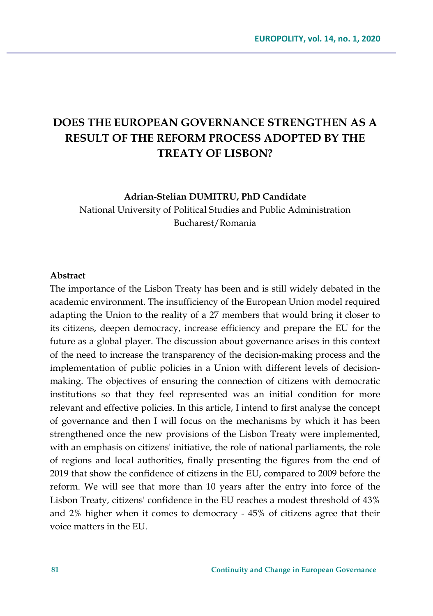# **DOES THE EUROPEAN GOVERNANCE STRENGTHEN AS A RESULT OF THE REFORM PROCESS ADOPTED BY THE TREATY OF LISBON?**

**Adrian-Stelian DUMITRU, PhD Candidate**

National University of Political Studies and Public Administration Bucharest/Romania

#### **Abstract**

The importance of the Lisbon Treaty has been and is still widely debated in the academic environment. The insufficiency of the European Union model required adapting the Union to the reality of a 27 members that would bring it closer to its citizens, deepen democracy, increase efficiency and prepare the EU for the future as a global player. The discussion about governance arises in this context of the need to increase the transparency of the decision-making process and the implementation of public policies in a Union with different levels of decisionmaking. The objectives of ensuring the connection of citizens with democratic institutions so that they feel represented was an initial condition for more relevant and effective policies. In this article, I intend to first analyse the concept of governance and then I will focus on the mechanisms by which it has been strengthened once the new provisions of the Lisbon Treaty were implemented, with an emphasis on citizens' initiative, the role of national parliaments, the role of regions and local authorities, finally presenting the figures from the end of 2019 that show the confidence of citizens in the EU, compared to 2009 before the reform. We will see that more than 10 years after the entry into force of the Lisbon Treaty, citizens' confidence in the EU reaches a modest threshold of 43% and 2% higher when it comes to democracy - 45% of citizens agree that their voice matters in the EU.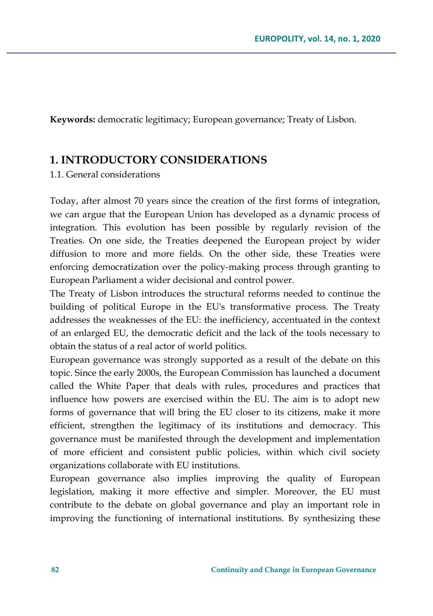**Keywords:** democratic legitimacy; European governance; Treaty of Lisbon.

### **1. INTRODUCTORY CONSIDERATIONS**

1.1. General considerations

Today, after almost 70 years since the creation of the first forms of integration, we can argue that the European Union has developed as a dynamic process of integration. This evolution has been possible by regularly revision of the Treaties. On one side, the Treaties deepened the European project by wider diffusion to more and more fields. On the other side, these Treaties were enforcing democratization over the policy-making process through granting to European Parliament a wider decisional and control power.

The Treaty of Lisbon introduces the structural reforms needed to continue the building of political Europe in the EU's transformative process. The Treaty addresses the weaknesses of the EU: the inefficiency, accentuated in the context of an enlarged EU, the democratic deficit and the lack of the tools necessary to obtain the status of a real actor of world politics.

European governance was strongly supported as a result of the debate on this topic. Since the early 2000s, the European Commission has launched a document called the White Paper that deals with rules, procedures and practices that influence how powers are exercised within the EU. The aim is to adopt new forms of governance that will bring the EU closer to its citizens, make it more efficient, strengthen the legitimacy of its institutions and democracy. This governance must be manifested through the development and implementation of more efficient and consistent public policies, within which civil society organizations collaborate with EU institutions.

European governance also implies improving the quality of European legislation, making it more effective and simpler. Moreover, the EU must contribute to the debate on global governance and play an important role in improving the functioning of international institutions. By synthesizing these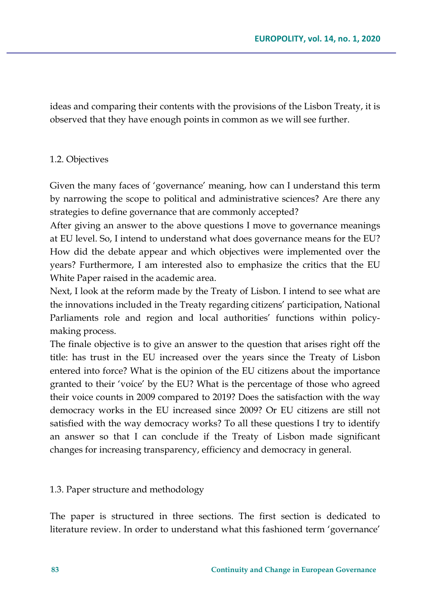ideas and comparing their contents with the provisions of the Lisbon Treaty, it is observed that they have enough points in common as we will see further.

#### 1.2. Objectives

Given the many faces of 'governance' meaning, how can I understand this term by narrowing the scope to political and administrative sciences? Are there any strategies to define governance that are commonly accepted?

After giving an answer to the above questions I move to governance meanings at EU level. So, I intend to understand what does governance means for the EU? How did the debate appear and which objectives were implemented over the years? Furthermore, I am interested also to emphasize the critics that the EU White Paper raised in the academic area.

Next, I look at the reform made by the Treaty of Lisbon. I intend to see what are the innovations included in the Treaty regarding citizens' participation, National Parliaments role and region and local authorities' functions within policymaking process.

The finale objective is to give an answer to the question that arises right off the title: has trust in the EU increased over the years since the Treaty of Lisbon entered into force? What is the opinion of the EU citizens about the importance granted to their 'voice' by the EU? What is the percentage of those who agreed their voice counts in 2009 compared to 2019? Does the satisfaction with the way democracy works in the EU increased since 2009? Or EU citizens are still not satisfied with the way democracy works? To all these questions I try to identify an answer so that I can conclude if the Treaty of Lisbon made significant changes for increasing transparency, efficiency and democracy in general.

#### 1.3. Paper structure and methodology

The paper is structured in three sections. The first section is dedicated to literature review. In order to understand what this fashioned term 'governance'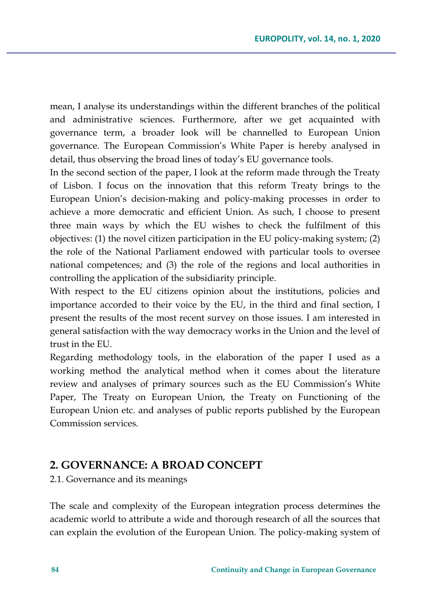mean, I analyse its understandings within the different branches of the political and administrative sciences. Furthermore, after we get acquainted with governance term, a broader look will be channelled to European Union governance. The European Commission's White Paper is hereby analysed in detail, thus observing the broad lines of today's EU governance tools.

In the second section of the paper, I look at the reform made through the Treaty of Lisbon. I focus on the innovation that this reform Treaty brings to the European Union's decision-making and policy-making processes in order to achieve a more democratic and efficient Union. As such, I choose to present three main ways by which the EU wishes to check the fulfilment of this objectives: (1) the novel citizen participation in the EU policy-making system; (2) the role of the National Parliament endowed with particular tools to oversee national competences; and (3) the role of the regions and local authorities in controlling the application of the subsidiarity principle.

With respect to the EU citizens opinion about the institutions, policies and importance accorded to their voice by the EU, in the third and final section, I present the results of the most recent survey on those issues. I am interested in general satisfaction with the way democracy works in the Union and the level of trust in the EU.

Regarding methodology tools, in the elaboration of the paper I used as a working method the analytical method when it comes about the literature review and analyses of primary sources such as the EU Commission's White Paper, The Treaty on European Union, the Treaty on Functioning of the European Union etc. and analyses of public reports published by the European Commission services.

### **2. GOVERNANCE: A BROAD CONCEPT**

2.1. Governance and its meanings

The scale and complexity of the European integration process determines the academic world to attribute a wide and thorough research of all the sources that can explain the evolution of the European Union. The policy-making system of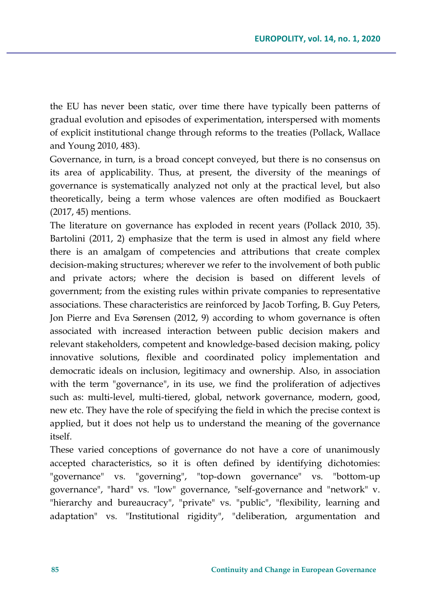the EU has never been static, over time there have typically been patterns of gradual evolution and episodes of experimentation, interspersed with moments of explicit institutional change through reforms to the treaties (Pollack, Wallace and Young 2010, 483).

Governance, in turn, is a broad concept conveyed, but there is no consensus on its area of applicability. Thus, at present, the diversity of the meanings of governance is systematically analyzed not only at the practical level, but also theoretically, being a term whose valences are often modified as Bouckaert (2017, 45) mentions.

The literature on governance has exploded in recent years (Pollack 2010, 35). Bartolini (2011, 2) emphasize that the term is used in almost any field where there is an amalgam of competencies and attributions that create complex decision-making structures; wherever we refer to the involvement of both public and private actors; where the decision is based on different levels of government; from the existing rules within private companies to representative associations. These characteristics are reinforced by Jacob Torfing, B. Guy Peters, Jon Pierre and Eva Sørensen (2012, 9) according to whom governance is often associated with increased interaction between public decision makers and relevant stakeholders, competent and knowledge-based decision making, policy innovative solutions, flexible and coordinated policy implementation and democratic ideals on inclusion, legitimacy and ownership. Also, in association with the term "governance", in its use, we find the proliferation of adjectives such as: multi-level, multi-tiered, global, network governance, modern, good, new etc. They have the role of specifying the field in which the precise context is applied, but it does not help us to understand the meaning of the governance itself.

These varied conceptions of governance do not have a core of unanimously accepted characteristics, so it is often defined by identifying dichotomies: "governance" vs. "governing", "top-down governance" vs. "bottom-up governance", "hard" vs. "low" governance, "self-governance and "network" v. "hierarchy and bureaucracy", "private" vs. "public", "flexibility, learning and adaptation" vs. "Institutional rigidity", "deliberation, argumentation and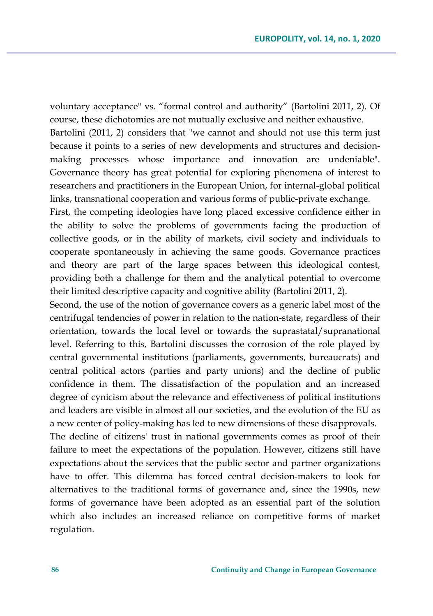voluntary acceptance" vs. "formal control and authority" (Bartolini 2011, 2). Of course, these dichotomies are not mutually exclusive and neither exhaustive. Bartolini (2011, 2) considers that "we cannot and should not use this term just because it points to a series of new developments and structures and decisionmaking processes whose importance and innovation are undeniable". Governance theory has great potential for exploring phenomena of interest to researchers and practitioners in the European Union, for internal-global political links, transnational cooperation and various forms of public-private exchange.

First, the competing ideologies have long placed excessive confidence either in the ability to solve the problems of governments facing the production of collective goods, or in the ability of markets, civil society and individuals to cooperate spontaneously in achieving the same goods. Governance practices and theory are part of the large spaces between this ideological contest, providing both a challenge for them and the analytical potential to overcome their limited descriptive capacity and cognitive ability (Bartolini 2011, 2).

Second, the use of the notion of governance covers as a generic label most of the centrifugal tendencies of power in relation to the nation-state, regardless of their orientation, towards the local level or towards the suprastatal/supranational level. Referring to this, Bartolini discusses the corrosion of the role played by central governmental institutions (parliaments, governments, bureaucrats) and central political actors (parties and party unions) and the decline of public confidence in them. The dissatisfaction of the population and an increased degree of cynicism about the relevance and effectiveness of political institutions and leaders are visible in almost all our societies, and the evolution of the EU as a new center of policy-making has led to new dimensions of these disapprovals.

The decline of citizens' trust in national governments comes as proof of their failure to meet the expectations of the population. However, citizens still have expectations about the services that the public sector and partner organizations have to offer. This dilemma has forced central decision-makers to look for alternatives to the traditional forms of governance and, since the 1990s, new forms of governance have been adopted as an essential part of the solution which also includes an increased reliance on competitive forms of market regulation.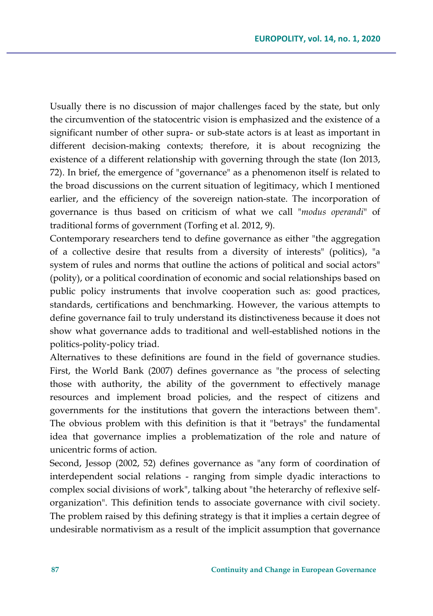Usually there is no discussion of major challenges faced by the state, but only the circumvention of the statocentric vision is emphasized and the existence of a significant number of other supra- or sub-state actors is at least as important in different decision-making contexts; therefore, it is about recognizing the existence of a different relationship with governing through the state (Ion 2013, 72). In brief, the emergence of "governance" as a phenomenon itself is related to the broad discussions on the current situation of legitimacy, which I mentioned earlier, and the efficiency of the sovereign nation-state. The incorporation of governance is thus based on criticism of what we call "*modus operandi*" of traditional forms of government (Torfing et al. 2012, 9).

Contemporary researchers tend to define governance as either "the aggregation of a collective desire that results from a diversity of interests" (politics), "a system of rules and norms that outline the actions of political and social actors" (polity), or a political coordination of economic and social relationships based on public policy instruments that involve cooperation such as: good practices, standards, certifications and benchmarking. However, the various attempts to define governance fail to truly understand its distinctiveness because it does not show what governance adds to traditional and well-established notions in the politics-polity-policy triad.

Alternatives to these definitions are found in the field of governance studies. First, the World Bank (2007) defines governance as "the process of selecting those with authority, the ability of the government to effectively manage resources and implement broad policies, and the respect of citizens and governments for the institutions that govern the interactions between them". The obvious problem with this definition is that it "betrays" the fundamental idea that governance implies a problematization of the role and nature of unicentric forms of action.

Second, Jessop (2002, 52) defines governance as "any form of coordination of interdependent social relations - ranging from simple dyadic interactions to complex social divisions of work", talking about "the heterarchy of reflexive selforganization". This definition tends to associate governance with civil society. The problem raised by this defining strategy is that it implies a certain degree of undesirable normativism as a result of the implicit assumption that governance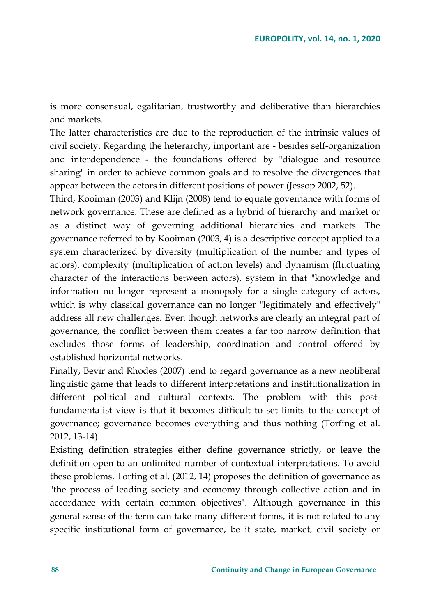is more consensual, egalitarian, trustworthy and deliberative than hierarchies and markets.

The latter characteristics are due to the reproduction of the intrinsic values of civil society. Regarding the heterarchy, important are - besides self-organization and interdependence - the foundations offered by "dialogue and resource sharing" in order to achieve common goals and to resolve the divergences that appear between the actors in different positions of power (Jessop 2002, 52).

Third, Kooiman (2003) and Klijn (2008) tend to equate governance with forms of network governance. These are defined as a hybrid of hierarchy and market or as a distinct way of governing additional hierarchies and markets. The governance referred to by Kooiman (2003, 4) is a descriptive concept applied to a system characterized by diversity (multiplication of the number and types of actors), complexity (multiplication of action levels) and dynamism (fluctuating character of the interactions between actors), system in that "knowledge and information no longer represent a monopoly for a single category of actors, which is why classical governance can no longer "legitimately and effectively" address all new challenges. Even though networks are clearly an integral part of governance, the conflict between them creates a far too narrow definition that excludes those forms of leadership, coordination and control offered by established horizontal networks.

Finally, Bevir and Rhodes (2007) tend to regard governance as a new neoliberal linguistic game that leads to different interpretations and institutionalization in different political and cultural contexts. The problem with this postfundamentalist view is that it becomes difficult to set limits to the concept of governance; governance becomes everything and thus nothing (Torfing et al. 2012, 13-14).

Existing definition strategies either define governance strictly, or leave the definition open to an unlimited number of contextual interpretations. To avoid these problems, Torfing et al. (2012, 14) proposes the definition of governance as "the process of leading society and economy through collective action and in accordance with certain common objectives". Although governance in this general sense of the term can take many different forms, it is not related to any specific institutional form of governance, be it state, market, civil society or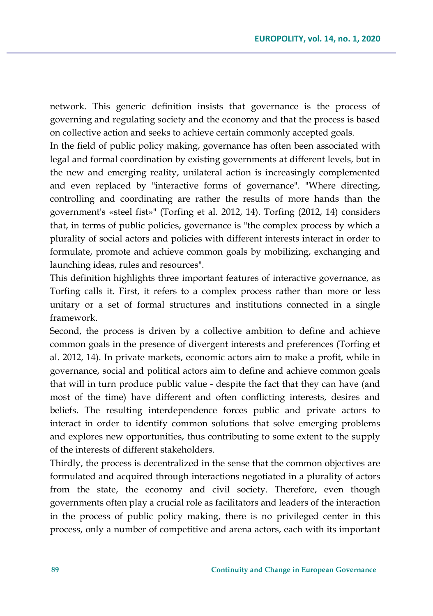network. This generic definition insists that governance is the process of governing and regulating society and the economy and that the process is based on collective action and seeks to achieve certain commonly accepted goals.

In the field of public policy making, governance has often been associated with legal and formal coordination by existing governments at different levels, but in the new and emerging reality, unilateral action is increasingly complemented and even replaced by "interactive forms of governance". "Where directing, controlling and coordinating are rather the results of more hands than the government's «steel fist»" (Torfing et al. 2012, 14). Torfing (2012, 14) considers that, in terms of public policies, governance is "the complex process by which a plurality of social actors and policies with different interests interact in order to formulate, promote and achieve common goals by mobilizing, exchanging and launching ideas, rules and resources".

This definition highlights three important features of interactive governance, as Torfing calls it. First, it refers to a complex process rather than more or less unitary or a set of formal structures and institutions connected in a single framework.

Second, the process is driven by a collective ambition to define and achieve common goals in the presence of divergent interests and preferences (Torfing et al. 2012, 14). In private markets, economic actors aim to make a profit, while in governance, social and political actors aim to define and achieve common goals that will in turn produce public value - despite the fact that they can have (and most of the time) have different and often conflicting interests, desires and beliefs. The resulting interdependence forces public and private actors to interact in order to identify common solutions that solve emerging problems and explores new opportunities, thus contributing to some extent to the supply of the interests of different stakeholders.

Thirdly, the process is decentralized in the sense that the common objectives are formulated and acquired through interactions negotiated in a plurality of actors from the state, the economy and civil society. Therefore, even though governments often play a crucial role as facilitators and leaders of the interaction in the process of public policy making, there is no privileged center in this process, only a number of competitive and arena actors, each with its important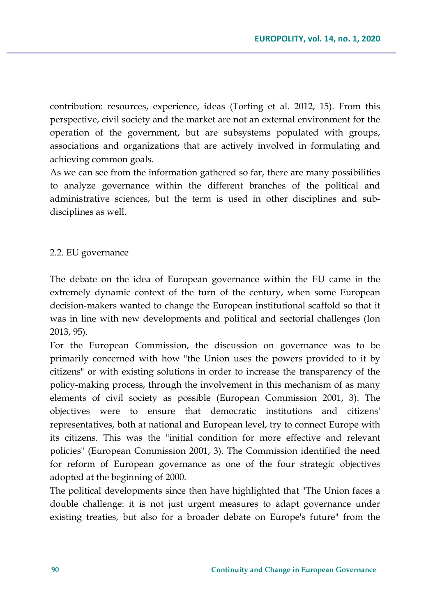contribution: resources, experience, ideas (Torfing et al. 2012, 15). From this perspective, civil society and the market are not an external environment for the operation of the government, but are subsystems populated with groups, associations and organizations that are actively involved in formulating and achieving common goals.

As we can see from the information gathered so far, there are many possibilities to analyze governance within the different branches of the political and administrative sciences, but the term is used in other disciplines and subdisciplines as well.

#### 2.2. EU governance

The debate on the idea of European governance within the EU came in the extremely dynamic context of the turn of the century, when some European decision-makers wanted to change the European institutional scaffold so that it was in line with new developments and political and sectorial challenges (Ion 2013, 95).

For the European Commission, the discussion on governance was to be primarily concerned with how "the Union uses the powers provided to it by citizens" or with existing solutions in order to increase the transparency of the policy-making process, through the involvement in this mechanism of as many elements of civil society as possible (European Commission 2001, 3). The objectives were to ensure that democratic institutions and citizens' representatives, both at national and European level, try to connect Europe with its citizens. This was the "initial condition for more effective and relevant policies" (European Commission 2001, 3). The Commission identified the need for reform of European governance as one of the four strategic objectives adopted at the beginning of 2000.

The political developments since then have highlighted that "The Union faces a double challenge: it is not just urgent measures to adapt governance under existing treaties, but also for a broader debate on Europe's future" from the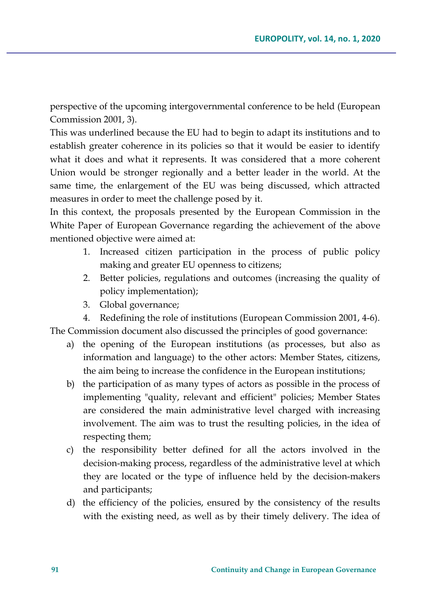perspective of the upcoming intergovernmental conference to be held (European Commission 2001, 3).

This was underlined because the EU had to begin to adapt its institutions and to establish greater coherence in its policies so that it would be easier to identify what it does and what it represents. It was considered that a more coherent Union would be stronger regionally and a better leader in the world. At the same time, the enlargement of the EU was being discussed, which attracted measures in order to meet the challenge posed by it.

In this context, the proposals presented by the European Commission in the White Paper of European Governance regarding the achievement of the above mentioned objective were aimed at:

- 1. Increased citizen participation in the process of public policy making and greater EU openness to citizens;
- 2. Better policies, regulations and outcomes (increasing the quality of policy implementation);
- 3. Global governance;

4. Redefining the role of institutions (European Commission 2001, 4-6). The Commission document also discussed the principles of good governance:

- a) the opening of the European institutions (as processes, but also as information and language) to the other actors: Member States, citizens, the aim being to increase the confidence in the European institutions;
- b) the participation of as many types of actors as possible in the process of implementing "quality, relevant and efficient" policies; Member States are considered the main administrative level charged with increasing involvement. The aim was to trust the resulting policies, in the idea of respecting them;
- c) the responsibility better defined for all the actors involved in the decision-making process, regardless of the administrative level at which they are located or the type of influence held by the decision-makers and participants;
- d) the efficiency of the policies, ensured by the consistency of the results with the existing need, as well as by their timely delivery. The idea of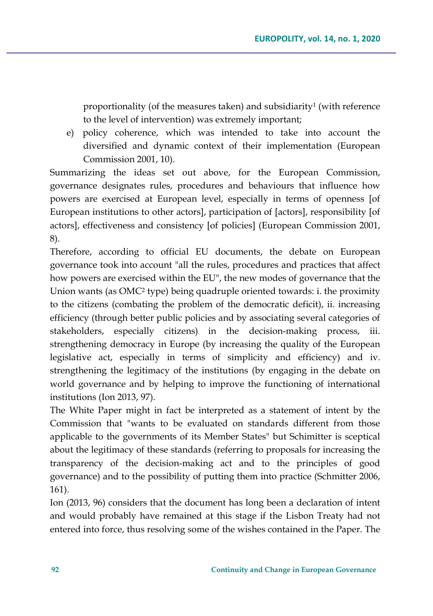proportionality (of the measures taken) and subsidiarity<sup>1</sup> (with reference to the level of intervention) was extremely important;

e) policy coherence, which was intended to take into account the diversified and dynamic context of their implementation (European Commission 2001, 10).

Summarizing the ideas set out above, for the European Commission, governance designates rules, procedures and behaviours that influence how powers are exercised at European level, especially in terms of openness [of European institutions to other actors], participation of [actors], responsibility [of actors], effectiveness and consistency [of policies] (European Commission 2001, 8).

Therefore, according to official EU documents, the debate on European governance took into account "all the rules, procedures and practices that affect how powers are exercised within the EU", the new modes of governance that the Union wants (as OMC<sup>2</sup> type) being quadruple oriented towards: i. the proximity to the citizens (combating the problem of the democratic deficit), ii. increasing efficiency (through better public policies and by associating several categories of stakeholders, especially citizens) in the decision-making process, iii. strengthening democracy in Europe (by increasing the quality of the European legislative act, especially in terms of simplicity and efficiency) and iv. strengthening the legitimacy of the institutions (by engaging in the debate on world governance and by helping to improve the functioning of international institutions (Ion 2013, 97).

The White Paper might in fact be interpreted as a statement of intent by the Commission that "wants to be evaluated on standards different from those applicable to the governments of its Member States" but Schimitter is sceptical about the legitimacy of these standards (referring to proposals for increasing the transparency of the decision-making act and to the principles of good governance) and to the possibility of putting them into practice (Schmitter 2006, 161).

Ion (2013, 96) considers that the document has long been a declaration of intent and would probably have remained at this stage if the Lisbon Treaty had not entered into force, thus resolving some of the wishes contained in the Paper. The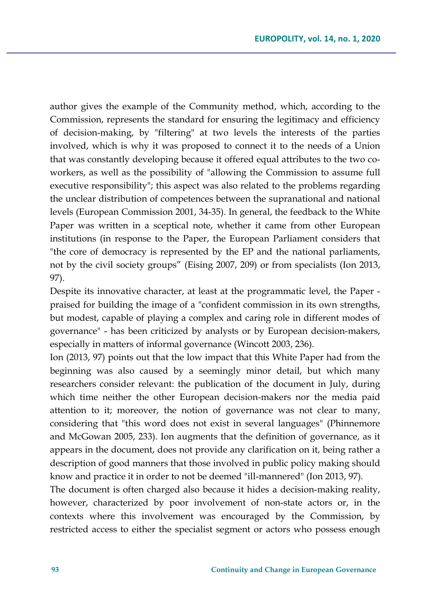author gives the example of the Community method, which, according to the Commission, represents the standard for ensuring the legitimacy and efficiency of decision-making, by "filtering" at two levels the interests of the parties involved, which is why it was proposed to connect it to the needs of a Union that was constantly developing because it offered equal attributes to the two coworkers, as well as the possibility of "allowing the Commission to assume full executive responsibility"; this aspect was also related to the problems regarding the unclear distribution of competences between the supranational and national levels (European Commission 2001, 34-35). In general, the feedback to the White Paper was written in a sceptical note, whether it came from other European institutions (in response to the Paper, the European Parliament considers that "the core of democracy is represented by the EP and the national parliaments, not by the civil society groups" (Eising 2007, 209) or from specialists (Ion 2013, 97).

Despite its innovative character, at least at the programmatic level, the Paper praised for building the image of a "confident commission in its own strengths, but modest, capable of playing a complex and caring role in different modes of governance" - has been criticized by analysts or by European decision-makers, especially in matters of informal governance (Wincott 2003, 236).

Ion (2013, 97) points out that the low impact that this White Paper had from the beginning was also caused by a seemingly minor detail, but which many researchers consider relevant: the publication of the document in July, during which time neither the other European decision-makers nor the media paid attention to it; moreover, the notion of governance was not clear to many, considering that "this word does not exist in several languages" (Phinnemore and McGowan 2005, 233). Ion augments that the definition of governance, as it appears in the document, does not provide any clarification on it, being rather a description of good manners that those involved in public policy making should know and practice it in order to not be deemed "ill-mannered" (Ion 2013, 97).

The document is often charged also because it hides a decision-making reality, however, characterized by poor involvement of non-state actors or, in the contexts where this involvement was encouraged by the Commission, by restricted access to either the specialist segment or actors who possess enough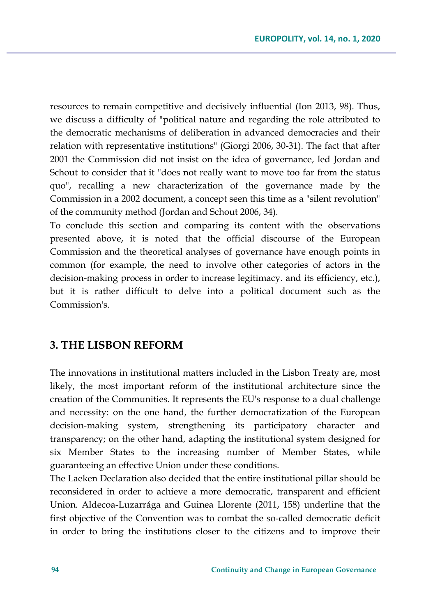resources to remain competitive and decisively influential (Ion 2013, 98). Thus, we discuss a difficulty of "political nature and regarding the role attributed to the democratic mechanisms of deliberation in advanced democracies and their relation with representative institutions" (Giorgi 2006, 30-31). The fact that after 2001 the Commission did not insist on the idea of governance, led Jordan and Schout to consider that it "does not really want to move too far from the status quo", recalling a new characterization of the governance made by the Commission in a 2002 document, a concept seen this time as a "silent revolution" of the community method (Jordan and Schout 2006, 34).

To conclude this section and comparing its content with the observations presented above, it is noted that the official discourse of the European Commission and the theoretical analyses of governance have enough points in common (for example, the need to involve other categories of actors in the decision-making process in order to increase legitimacy. and its efficiency, etc.), but it is rather difficult to delve into a political document such as the Commission's.

### **3. THE LISBON REFORM**

The innovations in institutional matters included in the Lisbon Treaty are, most likely, the most important reform of the institutional architecture since the creation of the Communities. It represents the EU's response to a dual challenge and necessity: on the one hand, the further democratization of the European decision-making system, strengthening its participatory character and transparency; on the other hand, adapting the institutional system designed for six Member States to the increasing number of Member States, while guaranteeing an effective Union under these conditions.

The Laeken Declaration also decided that the entire institutional pillar should be reconsidered in order to achieve a more democratic, transparent and efficient Union. Aldecoa-Luzarrága and Guinea Llorente (2011, 158) underline that the first objective of the Convention was to combat the so-called democratic deficit in order to bring the institutions closer to the citizens and to improve their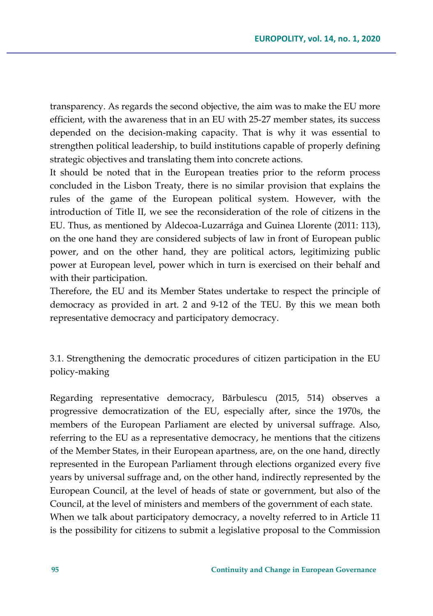transparency. As regards the second objective, the aim was to make the EU more efficient, with the awareness that in an EU with 25-27 member states, its success depended on the decision-making capacity. That is why it was essential to strengthen political leadership, to build institutions capable of properly defining strategic objectives and translating them into concrete actions.

It should be noted that in the European treaties prior to the reform process concluded in the Lisbon Treaty, there is no similar provision that explains the rules of the game of the European political system. However, with the introduction of Title II, we see the reconsideration of the role of citizens in the EU. Thus, as mentioned by Aldecoa-Luzarrága and Guinea Llorente (2011: 113), on the one hand they are considered subjects of law in front of European public power, and on the other hand, they are political actors, legitimizing public power at European level, power which in turn is exercised on their behalf and with their participation.

Therefore, the EU and its Member States undertake to respect the principle of democracy as provided in art. 2 and 9-12 of the TEU. By this we mean both representative democracy and participatory democracy.

3.1. Strengthening the democratic procedures of citizen participation in the EU policy-making

Regarding representative democracy, Bărbulescu (2015, 514) observes a progressive democratization of the EU, especially after, since the 1970s, the members of the European Parliament are elected by universal suffrage. Also, referring to the EU as a representative democracy, he mentions that the citizens of the Member States, in their European apartness, are, on the one hand, directly represented in the European Parliament through elections organized every five years by universal suffrage and, on the other hand, indirectly represented by the European Council, at the level of heads of state or government, but also of the Council, at the level of ministers and members of the government of each state. When we talk about participatory democracy, a novelty referred to in Article 11 is the possibility for citizens to submit a legislative proposal to the Commission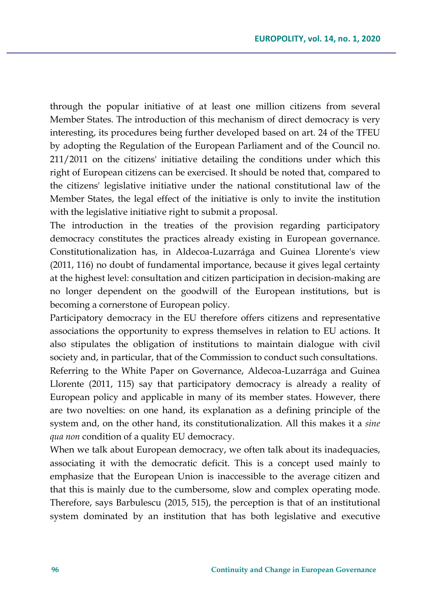through the popular initiative of at least one million citizens from several Member States. The introduction of this mechanism of direct democracy is very interesting, its procedures being further developed based on art. 24 of the TFEU by adopting the Regulation of the European Parliament and of the Council no. 211/2011 on the citizens' initiative detailing the conditions under which this right of European citizens can be exercised. It should be noted that, compared to the citizens' legislative initiative under the national constitutional law of the Member States, the legal effect of the initiative is only to invite the institution with the legislative initiative right to submit a proposal.

The introduction in the treaties of the provision regarding participatory democracy constitutes the practices already existing in European governance. Constitutionalization has, in Aldecoa-Luzarrága and Guinea Llorente's view (2011, 116) no doubt of fundamental importance, because it gives legal certainty at the highest level: consultation and citizen participation in decision-making are no longer dependent on the goodwill of the European institutions, but is becoming a cornerstone of European policy.

Participatory democracy in the EU therefore offers citizens and representative associations the opportunity to express themselves in relation to EU actions. It also stipulates the obligation of institutions to maintain dialogue with civil society and, in particular, that of the Commission to conduct such consultations.

Referring to the White Paper on Governance, Aldecoa-Luzarrága and Guinea Llorente (2011, 115) say that participatory democracy is already a reality of European policy and applicable in many of its member states. However, there are two novelties: on one hand, its explanation as a defining principle of the system and, on the other hand, its constitutionalization. All this makes it a *sine qua non* condition of a quality EU democracy.

When we talk about European democracy, we often talk about its inadequacies, associating it with the democratic deficit. This is a concept used mainly to emphasize that the European Union is inaccessible to the average citizen and that this is mainly due to the cumbersome, slow and complex operating mode. Therefore, says Barbulescu (2015, 515), the perception is that of an institutional system dominated by an institution that has both legislative and executive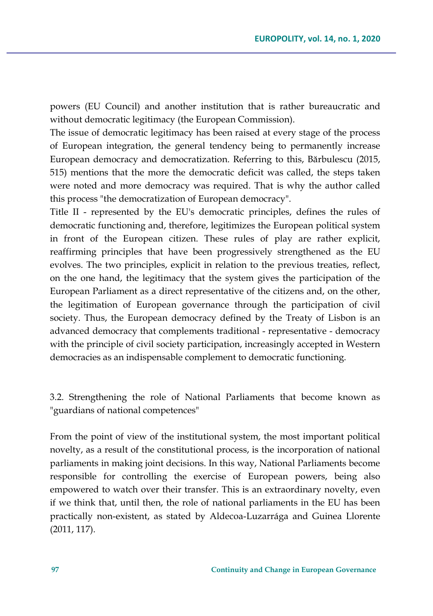powers (EU Council) and another institution that is rather bureaucratic and without democratic legitimacy (the European Commission).

The issue of democratic legitimacy has been raised at every stage of the process of European integration, the general tendency being to permanently increase European democracy and democratization. Referring to this, Bărbulescu (2015, 515) mentions that the more the democratic deficit was called, the steps taken were noted and more democracy was required. That is why the author called this process "the democratization of European democracy".

Title II - represented by the EU's democratic principles, defines the rules of democratic functioning and, therefore, legitimizes the European political system in front of the European citizen. These rules of play are rather explicit, reaffirming principles that have been progressively strengthened as the EU evolves. The two principles, explicit in relation to the previous treaties, reflect, on the one hand, the legitimacy that the system gives the participation of the European Parliament as a direct representative of the citizens and, on the other, the legitimation of European governance through the participation of civil society. Thus, the European democracy defined by the Treaty of Lisbon is an advanced democracy that complements traditional - representative - democracy with the principle of civil society participation, increasingly accepted in Western democracies as an indispensable complement to democratic functioning.

3.2. Strengthening the role of National Parliaments that become known as "guardians of national competences"

From the point of view of the institutional system, the most important political novelty, as a result of the constitutional process, is the incorporation of national parliaments in making joint decisions. In this way, National Parliaments become responsible for controlling the exercise of European powers, being also empowered to watch over their transfer. This is an extraordinary novelty, even if we think that, until then, the role of national parliaments in the EU has been practically non-existent, as stated by Aldecoa-Luzarrága and Guinea Llorente (2011, 117).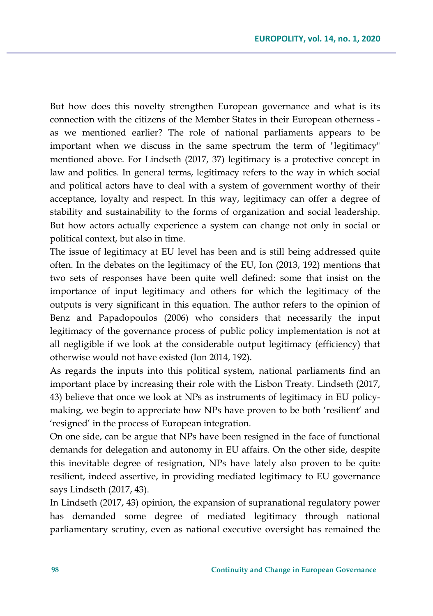But how does this novelty strengthen European governance and what is its connection with the citizens of the Member States in their European otherness as we mentioned earlier? The role of national parliaments appears to be important when we discuss in the same spectrum the term of "legitimacy" mentioned above. For Lindseth (2017, 37) legitimacy is a protective concept in law and politics. In general terms, legitimacy refers to the way in which social and political actors have to deal with a system of government worthy of their acceptance, loyalty and respect. In this way, legitimacy can offer a degree of stability and sustainability to the forms of organization and social leadership. But how actors actually experience a system can change not only in social or political context, but also in time.

The issue of legitimacy at EU level has been and is still being addressed quite often. In the debates on the legitimacy of the EU, Ion (2013, 192) mentions that two sets of responses have been quite well defined: some that insist on the importance of input legitimacy and others for which the legitimacy of the outputs is very significant in this equation. The author refers to the opinion of Benz and Papadopoulos (2006) who considers that necessarily the input legitimacy of the governance process of public policy implementation is not at all negligible if we look at the considerable output legitimacy (efficiency) that otherwise would not have existed (Ion 2014, 192).

As regards the inputs into this political system, national parliaments find an important place by increasing their role with the Lisbon Treaty. Lindseth (2017, 43) believe that once we look at NPs as instruments of legitimacy in EU policymaking, we begin to appreciate how NPs have proven to be both 'resilient' and 'resigned' in the process of European integration.

On one side, can be argue that NPs have been resigned in the face of functional demands for delegation and autonomy in EU affairs. On the other side, despite this inevitable degree of resignation, NPs have lately also proven to be quite resilient, indeed assertive, in providing mediated legitimacy to EU governance says Lindseth (2017, 43).

In Lindseth (2017, 43) opinion, the expansion of supranational regulatory power has demanded some degree of mediated legitimacy through national parliamentary scrutiny, even as national executive oversight has remained the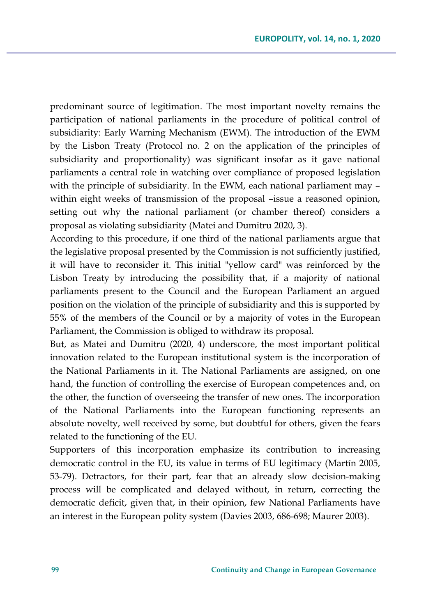predominant source of legitimation. The most important novelty remains the participation of national parliaments in the procedure of political control of subsidiarity: Early Warning Mechanism (EWM). The introduction of the EWM by the Lisbon Treaty (Protocol no. 2 on the application of the principles of subsidiarity and proportionality) was significant insofar as it gave national parliaments a central role in watching over compliance of proposed legislation with the principle of subsidiarity. In the EWM, each national parliament may – within eight weeks of transmission of the proposal –issue a reasoned opinion, setting out why the national parliament (or chamber thereof) considers a proposal as violating subsidiarity (Matei and Dumitru 2020, 3).

According to this procedure, if one third of the national parliaments argue that the legislative proposal presented by the Commission is not sufficiently justified, it will have to reconsider it. This initial "yellow card" was reinforced by the Lisbon Treaty by introducing the possibility that, if a majority of national parliaments present to the Council and the European Parliament an argued position on the violation of the principle of subsidiarity and this is supported by 55% of the members of the Council or by a majority of votes in the European Parliament, the Commission is obliged to withdraw its proposal.

But, as Matei and Dumitru (2020, 4) underscore, the most important political innovation related to the European institutional system is the incorporation of the National Parliaments in it. The National Parliaments are assigned, on one hand, the function of controlling the exercise of European competences and, on the other, the function of overseeing the transfer of new ones. The incorporation of the National Parliaments into the European functioning represents an absolute novelty, well received by some, but doubtful for others, given the fears related to the functioning of the EU.

Supporters of this incorporation emphasize its contribution to increasing democratic control in the EU, its value in terms of EU legitimacy (Martín 2005, 53-79). Detractors, for their part, fear that an already slow decision-making process will be complicated and delayed without, in return, correcting the democratic deficit, given that, in their opinion, few National Parliaments have an interest in the European polity system (Davies 2003, 686-698; Maurer 2003).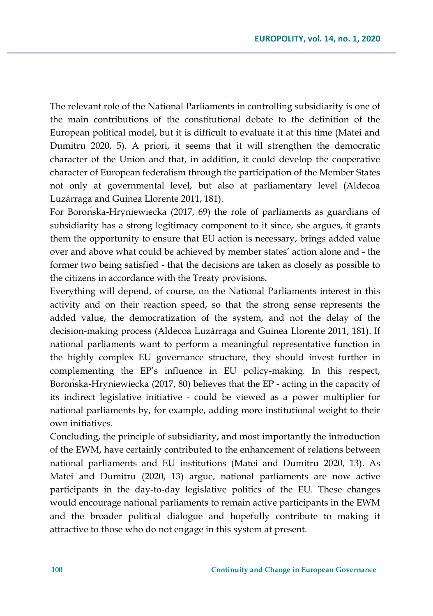The relevant role of the National Parliaments in controlling subsidiarity is one of the main contributions of the constitutional debate to the definition of the European political model, but it is difficult to evaluate it at this time (Matei and Dumitru 2020, 5). A priori, it seems that it will strengthen the democratic character of the Union and that, in addition, it could develop the cooperative character of European federalism through the participation of the Member States not only at governmental level, but also at parliamentary level (Aldecoa Luzárraga and Guinea Llorente 2011, 181).

For Borońska-Hryniewiecka (2017, 69) the role of parliaments as guardians of subsidiarity has a strong legitimacy component to it since, she argues, it grants them the opportunity to ensure that EU action is necessary, brings added value over and above what could be achieved by member states' action alone and - the former two being satisfied - that the decisions are taken as closely as possible to the citizens in accordance with the Treaty provisions.

Everything will depend, of course, on the National Parliaments interest in this activity and on their reaction speed, so that the strong sense represents the added value, the democratization of the system, and not the delay of the decision-making process (Aldecoa Luzárraga and Guinea Llorente 2011, 181). If national parliaments want to perform a meaningful representative function in the highly complex EU governance structure, they should invest further in complementing the EP's influence in EU policy-making. In this respect, Borońska-Hryniewiecka (2017, 80) believes that the EP - acting in the capacity of its indirect legislative initiative - could be viewed as a power multiplier for national parliaments by, for example, adding more institutional weight to their own initiatives.

Concluding, the principle of subsidiarity, and most importantly the introduction of the EWM, have certainly contributed to the enhancement of relations between national parliaments and EU institutions (Matei and Dumitru 2020, 13). As Matei and Dumitru (2020, 13) argue, national parliaments are now active participants in the day-to-day legislative politics of the EU. These changes would encourage national parliaments to remain active participants in the EWM and the broader political dialogue and hopefully contribute to making it attractive to those who do not engage in this system at present.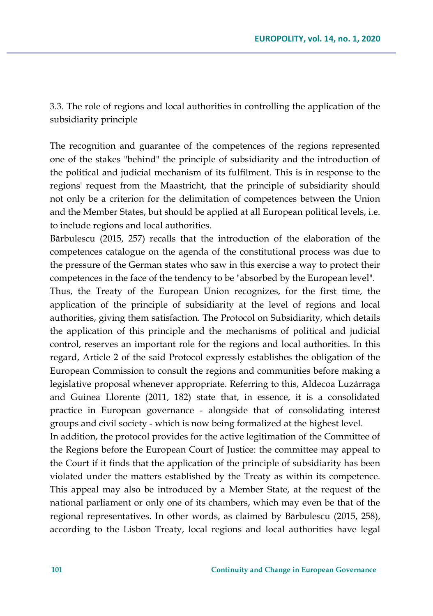3.3. The role of regions and local authorities in controlling the application of the subsidiarity principle

The recognition and guarantee of the competences of the regions represented one of the stakes "behind" the principle of subsidiarity and the introduction of the political and judicial mechanism of its fulfilment. This is in response to the regions' request from the Maastricht, that the principle of subsidiarity should not only be a criterion for the delimitation of competences between the Union and the Member States, but should be applied at all European political levels, i.e. to include regions and local authorities.

Bărbulescu (2015, 257) recalls that the introduction of the elaboration of the competences catalogue on the agenda of the constitutional process was due to the pressure of the German states who saw in this exercise a way to protect their competences in the face of the tendency to be "absorbed by the European level".

Thus, the Treaty of the European Union recognizes, for the first time, the application of the principle of subsidiarity at the level of regions and local authorities, giving them satisfaction. The Protocol on Subsidiarity, which details the application of this principle and the mechanisms of political and judicial control, reserves an important role for the regions and local authorities. In this regard, Article 2 of the said Protocol expressly establishes the obligation of the European Commission to consult the regions and communities before making a legislative proposal whenever appropriate. Referring to this, Aldecoa Luzárraga and Guinea Llorente (2011, 182) state that, in essence, it is a consolidated practice in European governance - alongside that of consolidating interest groups and civil society - which is now being formalized at the highest level.

In addition, the protocol provides for the active legitimation of the Committee of the Regions before the European Court of Justice: the committee may appeal to the Court if it finds that the application of the principle of subsidiarity has been violated under the matters established by the Treaty as within its competence. This appeal may also be introduced by a Member State, at the request of the national parliament or only one of its chambers, which may even be that of the regional representatives. In other words, as claimed by Bărbulescu (2015, 258), according to the Lisbon Treaty, local regions and local authorities have legal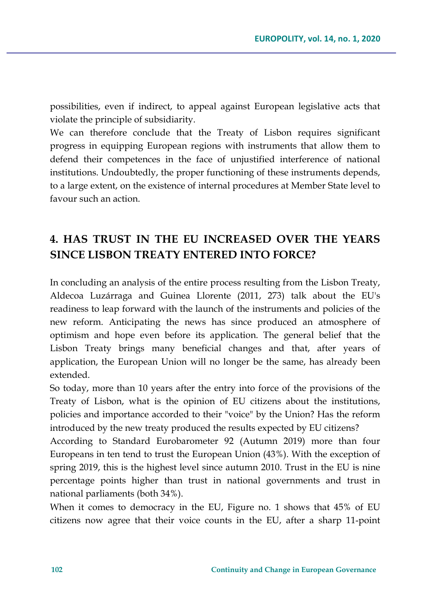possibilities, even if indirect, to appeal against European legislative acts that violate the principle of subsidiarity.

We can therefore conclude that the Treaty of Lisbon requires significant progress in equipping European regions with instruments that allow them to defend their competences in the face of unjustified interference of national institutions. Undoubtedly, the proper functioning of these instruments depends, to a large extent, on the existence of internal procedures at Member State level to favour such an action.

## **4. HAS TRUST IN THE EU INCREASED OVER THE YEARS SINCE LISBON TREATY ENTERED INTO FORCE?**

In concluding an analysis of the entire process resulting from the Lisbon Treaty, Aldecoa Luzárraga and Guinea Llorente (2011, 273) talk about the EU's readiness to leap forward with the launch of the instruments and policies of the new reform. Anticipating the news has since produced an atmosphere of optimism and hope even before its application. The general belief that the Lisbon Treaty brings many beneficial changes and that, after years of application, the European Union will no longer be the same, has already been extended.

So today, more than 10 years after the entry into force of the provisions of the Treaty of Lisbon, what is the opinion of EU citizens about the institutions, policies and importance accorded to their "voice" by the Union? Has the reform introduced by the new treaty produced the results expected by EU citizens?

According to Standard Eurobarometer 92 (Autumn 2019) more than four Europeans in ten tend to trust the European Union (43%). With the exception of spring 2019, this is the highest level since autumn 2010. Trust in the EU is nine percentage points higher than trust in national governments and trust in national parliaments (both 34%).

When it comes to democracy in the EU, Figure no. 1 shows that 45% of EU citizens now agree that their voice counts in the EU, after a sharp 11-point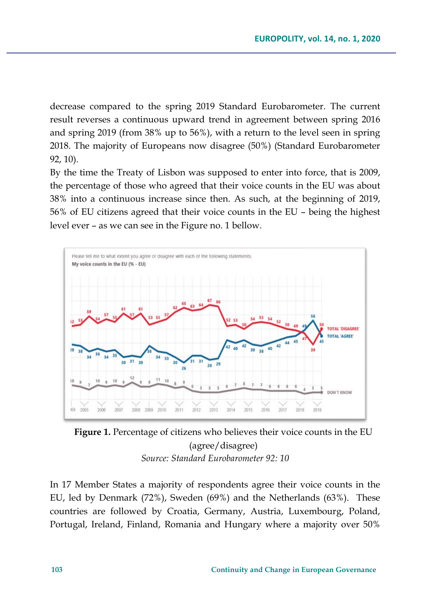decrease compared to the spring 2019 Standard Eurobarometer. The current result reverses a continuous upward trend in agreement between spring 2016 and spring 2019 (from 38% up to 56%), with a return to the level seen in spring 2018. The majority of Europeans now disagree (50%) (Standard Eurobarometer 92, 10).

By the time the Treaty of Lisbon was supposed to enter into force, that is 2009, the percentage of those who agreed that their voice counts in the EU was about 38% into a continuous increase since then. As such, at the beginning of 2019, 56% of EU citizens agreed that their voice counts in the EU – being the highest level ever – as we can see in the Figure no. 1 bellow.



**Figure 1.** Percentage of citizens who believes their voice counts in the EU (agree/disagree) *Source: Standard Eurobarometer 92: 10*

In 17 Member States a majority of respondents agree their voice counts in the EU, led by Denmark (72%), Sweden (69%) and the Netherlands (63%). These countries are followed by Croatia, Germany, Austria, Luxembourg, Poland, Portugal, Ireland, Finland, Romania and Hungary where a majority over 50%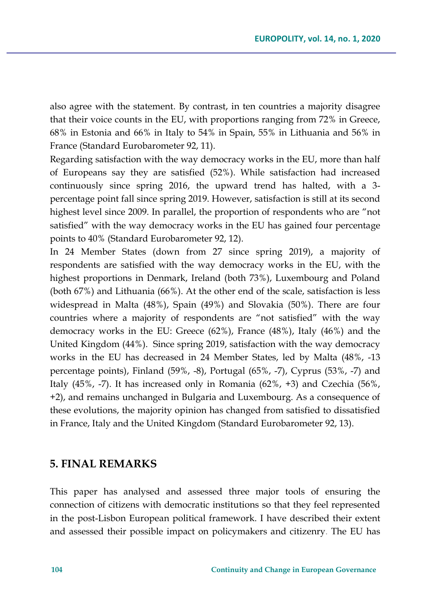also agree with the statement. By contrast, in ten countries a majority disagree that their voice counts in the EU, with proportions ranging from 72% in Greece, 68% in Estonia and 66% in Italy to 54% in Spain, 55% in Lithuania and 56% in France (Standard Eurobarometer 92, 11).

Regarding satisfaction with the way democracy works in the EU, more than half of Europeans say they are satisfied (52%). While satisfaction had increased continuously since spring 2016, the upward trend has halted, with a 3 percentage point fall since spring 2019. However, satisfaction is still at its second highest level since 2009. In parallel, the proportion of respondents who are "not satisfied" with the way democracy works in the EU has gained four percentage points to 40% (Standard Eurobarometer 92, 12).

In 24 Member States (down from 27 since spring 2019), a majority of respondents are satisfied with the way democracy works in the EU, with the highest proportions in Denmark, Ireland (both 73%), Luxembourg and Poland (both 67%) and Lithuania (66%). At the other end of the scale, satisfaction is less widespread in Malta (48%), Spain (49%) and Slovakia (50%). There are four countries where a majority of respondents are "not satisfied" with the way democracy works in the EU: Greece (62%), France (48%), Italy (46%) and the United Kingdom (44%). Since spring 2019, satisfaction with the way democracy works in the EU has decreased in 24 Member States, led by Malta (48%, -13 percentage points), Finland (59%, -8), Portugal (65%, -7), Cyprus (53%, -7) and Italy (45%, -7). It has increased only in Romania (62%, +3) and Czechia (56%, +2), and remains unchanged in Bulgaria and Luxembourg. As a consequence of these evolutions, the majority opinion has changed from satisfied to dissatisfied in France, Italy and the United Kingdom (Standard Eurobarometer 92, 13).

#### **5. FINAL REMARKS**

This paper has analysed and assessed three major tools of ensuring the connection of citizens with democratic institutions so that they feel represented in the post-Lisbon European political framework. I have described their extent and assessed their possible impact on policymakers and citizenry. The EU has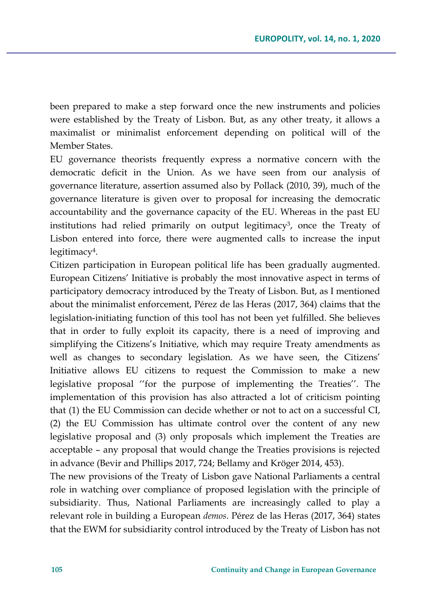been prepared to make a step forward once the new instruments and policies were established by the Treaty of Lisbon. But, as any other treaty, it allows a maximalist or minimalist enforcement depending on political will of the Member States.

EU governance theorists frequently express a normative concern with the democratic deficit in the Union. As we have seen from our analysis of governance literature, assertion assumed also by Pollack (2010, 39), much of the governance literature is given over to proposal for increasing the democratic accountability and the governance capacity of the EU. Whereas in the past EU institutions had relied primarily on output legitimacy3, once the Treaty of Lisbon entered into force, there were augmented calls to increase the input legitimacy4.

Citizen participation in European political life has been gradually augmented. European Citizens' Initiative is probably the most innovative aspect in terms of participatory democracy introduced by the Treaty of Lisbon. But, as I mentioned about the minimalist enforcement, Pérez de las Heras (2017, 364) claims that the legislation-initiating function of this tool has not been yet fulfilled. She believes that in order to fully exploit its capacity, there is a need of improving and simplifying the Citizens's Initiative, which may require Treaty amendments as well as changes to secondary legislation. As we have seen, the Citizens' Initiative allows EU citizens to request the Commission to make a new legislative proposal ''for the purpose of implementing the Treaties''. The implementation of this provision has also attracted a lot of criticism pointing that (1) the EU Commission can decide whether or not to act on a successful CI, (2) the EU Commission has ultimate control over the content of any new legislative proposal and (3) only proposals which implement the Treaties are acceptable – any proposal that would change the Treaties provisions is rejected in advance (Bevir and Phillips 2017, 724; Bellamy and Kröger 2014, 453).

The new provisions of the Treaty of Lisbon gave National Parliaments a central role in watching over compliance of proposed legislation with the principle of subsidiarity. Thus, National Parliaments are increasingly called to play a relevant role in building a European *demos*. Pérez de las Heras (2017, 364) states that the EWM for subsidiarity control introduced by the Treaty of Lisbon has not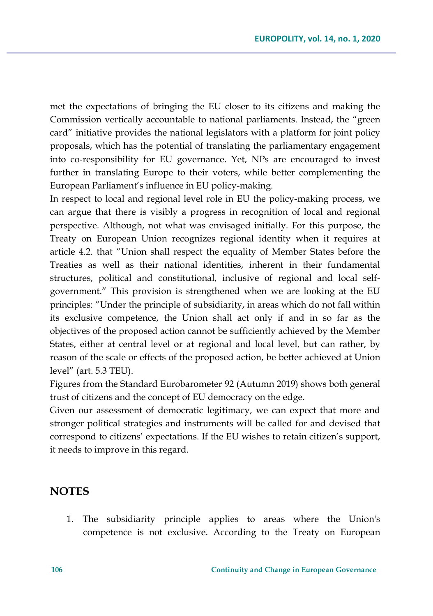met the expectations of bringing the EU closer to its citizens and making the Commission vertically accountable to national parliaments. Instead, the "green card" initiative provides the national legislators with a platform for joint policy proposals, which has the potential of translating the parliamentary engagement into co-responsibility for EU governance. Yet, NPs are encouraged to invest further in translating Europe to their voters, while better complementing the European Parliament's influence in EU policy-making.

In respect to local and regional level role in EU the policy-making process, we can argue that there is visibly a progress in recognition of local and regional perspective. Although, not what was envisaged initially. For this purpose, the Treaty on European Union recognizes regional identity when it requires at article 4.2. that "Union shall respect the equality of Member States before the Treaties as well as their national identities, inherent in their fundamental structures, political and constitutional, inclusive of regional and local selfgovernment." This provision is strengthened when we are looking at the EU principles: "Under the principle of subsidiarity, in areas which do not fall within its exclusive competence, the Union shall act only if and in so far as the objectives of the proposed action cannot be sufficiently achieved by the Member States, either at central level or at regional and local level, but can rather, by reason of the scale or effects of the proposed action, be better achieved at Union level" (art. 5.3 TEU).

Figures from the Standard Eurobarometer 92 (Autumn 2019) shows both general trust of citizens and the concept of EU democracy on the edge.

Given our assessment of democratic legitimacy, we can expect that more and stronger political strategies and instruments will be called for and devised that correspond to citizens' expectations. If the EU wishes to retain citizen's support, it needs to improve in this regard.

### **NOTES**

1. The subsidiarity principle applies to areas where the Union's competence is not exclusive. According to the Treaty on European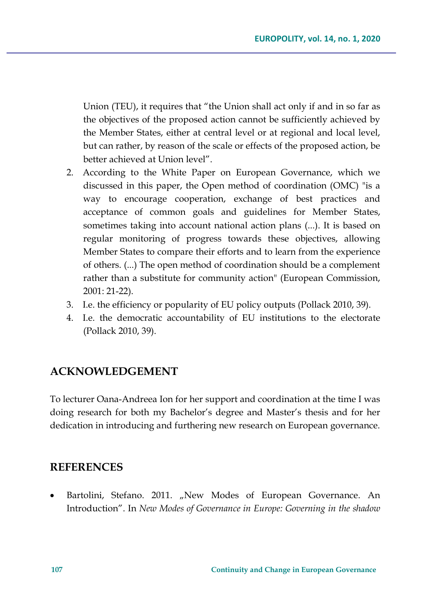Union (TEU), it requires that "the Union shall act only if and in so far as the objectives of the proposed action cannot be sufficiently achieved by the Member States, either at central level or at regional and local level, but can rather, by reason of the scale or effects of the proposed action, be better achieved at Union level".

- 2. According to the White Paper on European Governance, which we discussed in this paper, the Open method of coordination (OMC) "is a way to encourage cooperation, exchange of best practices and acceptance of common goals and guidelines for Member States, sometimes taking into account national action plans (...). It is based on regular monitoring of progress towards these objectives, allowing Member States to compare their efforts and to learn from the experience of others. (...) The open method of coordination should be a complement rather than a substitute for community action" (European Commission, 2001: 21-22).
- 3. I.e. the efficiency or popularity of EU policy outputs (Pollack 2010, 39).
- 4. I.e. the democratic accountability of EU institutions to the electorate (Pollack 2010, 39).

### **ACKNOWLEDGEMENT**

To lecturer Oana-Andreea Ion for her support and coordination at the time I was doing research for both my Bachelor's degree and Master's thesis and for her dedication in introducing and furthering new research on European governance.

### **REFERENCES**

Bartolini, Stefano. 2011. "New Modes of European Governance. An Introduction". In *New Modes of Governance in Europe: Governing in the shadow*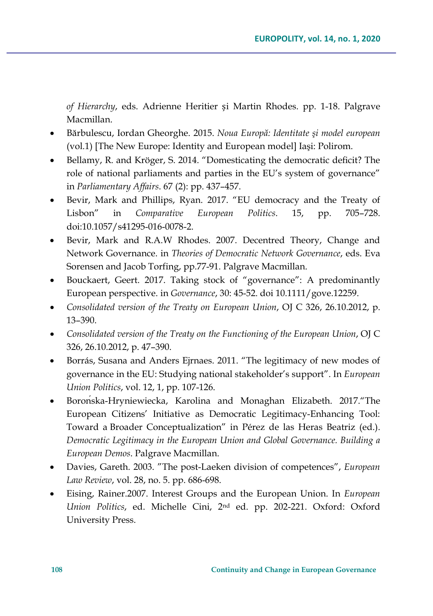*of Hierarchy*, eds. Adrienne Heritier și Martin Rhodes. pp. 1-18. Palgrave Macmillan.

- Bărbulescu, Iordan Gheorghe. 2015. *Noua Europă: Identitate şi model european* (vol.1) [The New Europe: Identity and European model] Iaşi: Polirom.
- Bellamy, R. and Kröger, S. 2014. "Domesticating the democratic deficit? The role of national parliaments and parties in the EU's system of governance" in *Parliamentary Affairs*. 67 (2): pp. 437–457.
- Bevir, Mark and Phillips, Ryan. 2017. "EU democracy and the Treaty of Lisbon" in *Comparative European Politics*. 15, pp. 705–728. doi:10.1057/s41295-016-0078-2.
- Bevir, Mark and R.A.W Rhodes. 2007. Decentred Theory, Change and Network Governance. in *Theories of Democratic Network Governance*, eds. Eva Sorensen and Jacob Torfing, pp.77-91. Palgrave Macmillan.
- Bouckaert, Geert. 2017. Taking stock of "governance": A predominantly European perspective. in *Governance*, 30: 45-52. doi 10.1111/gove.12259.
- *Consolidated version of the Treaty on European Union*, OJ C 326, 26.10.2012, p. 13–390.
- *Consolidated version of the Treaty on the Functioning of the European Union*, OJ C 326, 26.10.2012, p. 47–390.
- Borrás, Susana and Anders Ejrnaes. 2011. "The legitimacy of new modes of governance in the EU: Studying national stakeholder's support". In *European Union Politics*, vol. 12, 1, pp. 107-126.
- Borońska-Hryniewiecka, Karolina and Monaghan Elizabeth. 2017."The European Citizens' Initiative as Democratic Legitimacy-Enhancing Tool: Toward a Broader Conceptualization" in Pérez de las Heras Beatriz (ed.). *Democratic Legitimacy in the European Union and Global Governance. Building a European Demos*. Palgrave Macmillan.
- Davies, Gareth. 2003. "The post-Laeken division of competences", *European Law Review*, vol. 28, no. 5. pp. 686-698.
- Eising, Rainer.2007. Interest Groups and the European Union. In *European Union Politics*, ed. Michelle Cini, 2nd ed. pp. 202-221. Oxford: Oxford University Press.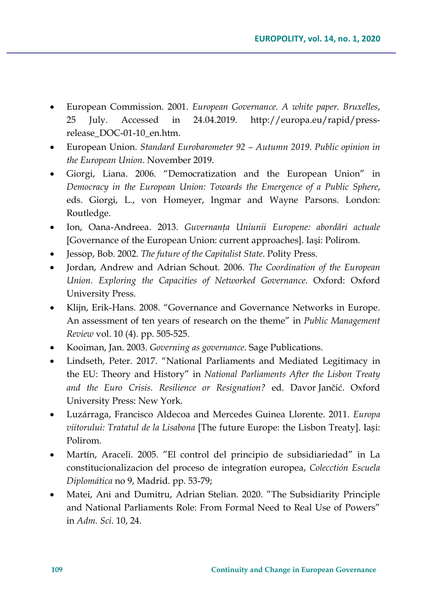- European Commission. 2001. *European Governance. A white paper. Bruxelles*, 25 July. Accessed in 24.04.2019. http://europa.eu/rapid/pressrelease\_DOC-01-10\_en.htm.
- European Union. *Standard Eurobarometer 92 – Autumn 2019. Public opinion in the European Union*. November 2019.
- Giorgi, Liana. 2006. "Democratization and the European Union" in *Democracy in the European Union: Towards the Emergence of a Public Sphere*, eds. Giorgi, L., von Homeyer, Ingmar and Wayne Parsons. London: Routledge.
- Ion, Oana-Andreea. 2013. *Guvernanţa Uniunii Europene: abordări actuale* [Governance of the European Union: current approaches]. Iaşi: Polirom.
- Jessop, Bob. 2002. *The future of the Capitalist State*. Polity Press.
- Jordan, Andrew and Adrian Schout. 2006. *The Coordination of the European Union. Exploring the Capacities of Networked Governance*. Oxford: Oxford University Press.
- Klijn, Erik-Hans. 2008. "Governance and Governance Networks in Europe. An assessment of ten years of research on the theme" in *Public Management Review* vol. 10 (4). pp. 505-525.
- Kooiman, Jan. 2003. *Governing as governance*. Sage Publications.
- Lindseth, Peter. 2017. "National Parliaments and Mediated Legitimacy in the EU: Theory and History" in *National Parliaments After the Lisbon Treaty and the Euro Crisis. Resilience or Resignation?* ed. Davor Jančić. Oxford University Press: New York.
- Luzárraga, Francisco Aldecoa and Mercedes Guinea Llorente. 2011. *Europa viitorului: Tratatul de la Lisabona* [The future Europe: the Lisbon Treaty]. Iași: Polirom.
- Martín, Araceli. 2005. "El control del principio de subsidiariedad" in La constitucionalizacion del proceso de integratíon europea, *Colecctión Escuela Diplomática* no 9, Madrid. pp. 53-79;
- Matei, Ani and Dumitru, Adrian Stelian. 2020. "The Subsidiarity Principle and National Parliaments Role: From Formal Need to Real Use of Powers" in *Adm. Sci*. 10, 24.